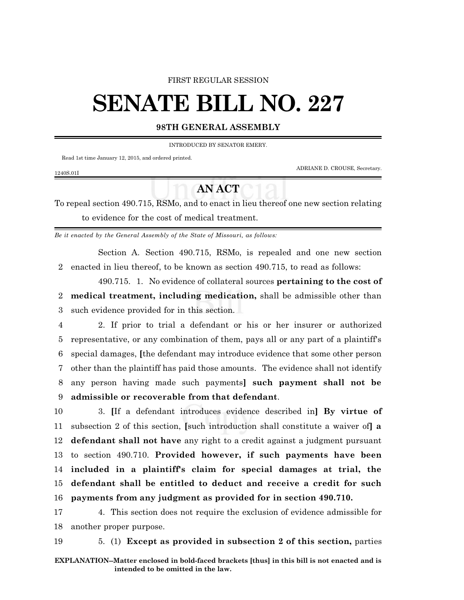## FIRST REGULAR SESSION

## **SENATE BILL NO. 227**

## **98TH GENERAL ASSEMBLY**

INTRODUCED BY SENATOR EMERY.

Read 1st time January 12, 2015, and ordered printed.

1240S.01I

ADRIANE D. CROUSE, Secretary.

## **AN ACT**

To repeal section 490.715, RSMo, and to enact in lieu thereof one new section relating to evidence for the cost of medical treatment.

*Be it enacted by the General Assembly of the State of Missouri, as follows:*

Section A. Section 490.715, RSMo, is repealed and one new section 2 enacted in lieu thereof, to be known as section 490.715, to read as follows:

490.715. 1. No evidence of collateral sources **pertaining to the cost of** 2 **medical treatment, including medication,** shall be admissible other than 3 such evidence provided for in this section.

 2. If prior to trial a defendant or his or her insurer or authorized representative, or any combination of them, pays all or any part of a plaintiff's special damages, **[**the defendant may introduce evidence that some other person other than the plaintiff has paid those amounts. The evidence shall not identify any person having made such payments**] such payment shall not be admissible or recoverable from that defendant**.

 3. **[**If a defendant introduces evidence described in**] By virtue of** subsection 2 of this section, **[**such introduction shall constitute a waiver of**] a defendant shall not have** any right to a credit against a judgment pursuant to section 490.710. **Provided however, if such payments have been included in a plaintiff's claim for special damages at trial, the defendant shall be entitled to deduct and receive a credit for such payments from any judgment as provided for in section 490.710.**

17 4. This section does not require the exclusion of evidence admissible for 18 another proper purpose.

19 5. (1) **Except as provided in subsection 2 of this section,** parties